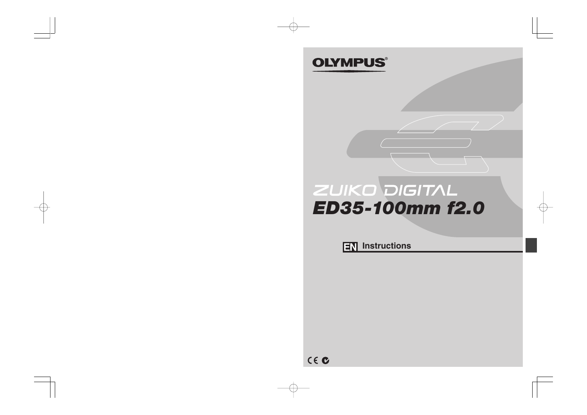## **OLYMPUS®**

# ZUIKO DIGITAL *ED35-100mm f2.0*

**IN** Instructions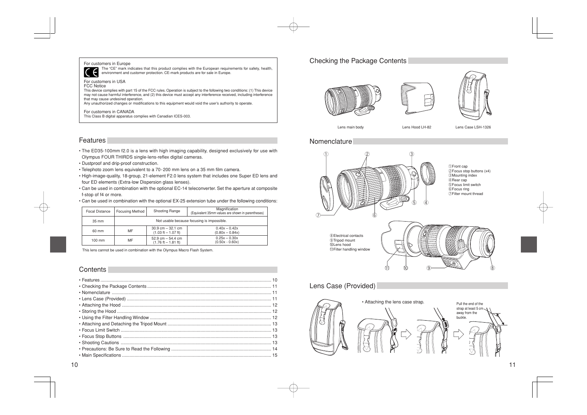#### For customers in Europe



The "CE" mark indicates that this product complies with the European requirements for safety, health, environment and customer protection. CE-mark products are for sale in Europe.

#### For customers in USA

FCC Notice

This device complies with part 15 of the FCC rules. Operation is subject to the following two conditions: (1) This device may not cause harmful interference, and (2) this device must accept any interference received, including interference that may cause undesired operation.

Any unauthorized changes or modifications to this equipment would void the user's authority to operate.

#### For customers in CANADA

This Class B digital apparatus complies with Canadian ICES-003.

#### **Features**

- The ED35-100mm f2.0 is a lens with high imaging capability, designed exclusively for use with Olympus FOUR THIRDS single-lens-reflex digital cameras.
- Dustproof and drip-proof construction.
- Telephoto zoom lens equivalent to a 70-200 mm lens on a 35 mm film camera.
- High-image-quality, 18-group, 21-element F2.0 lens system that includes one Super ED lens and four ED elements (Extra-low Dispersion glass lenses).
- Can be used in combination with the optional EC-14 teleconverter. Set the aperture at composite f-stop of f4 or more.
- Can be used in combination with the optional EX-25 extension tube under the following conditions:

|  | <b>Focal Distance</b> | <b>Focusing Method</b>                     | Shooting Range                                                               | Magnification<br>(Equivalent 35mm values are shown in parentheses) |
|--|-----------------------|--------------------------------------------|------------------------------------------------------------------------------|--------------------------------------------------------------------|
|  | $35 \text{ mm}$       | Not usable because focusing is impossible. |                                                                              |                                                                    |
|  | 60 mm                 | <b>MF</b>                                  | $30.9$ cm $-32.1$ cm<br>$(1.03 \text{ ft} - 1.07 \text{ ft})$                | $0.40x - 0.42x$<br>$(0.80x - 0.84x)$                               |
|  | $100 \text{ mm}$      | ΜF                                         | $52.9 \text{ cm} - 54.4 \text{ cm}$<br>$(1.76 \text{ ft} - 1.81 \text{ ft})$ | $0.25x - 0.30x$<br>$(0.50x - 0.60x)$                               |

This lens cannot be used in combination with the Olympus Macro Flash System.

#### **Contents**

#### Checking the Package Contents







Lens main body Lens Hood LH-82 Lens Case LSH-1326

#### Nomenclature



## Lens Case (Provided)

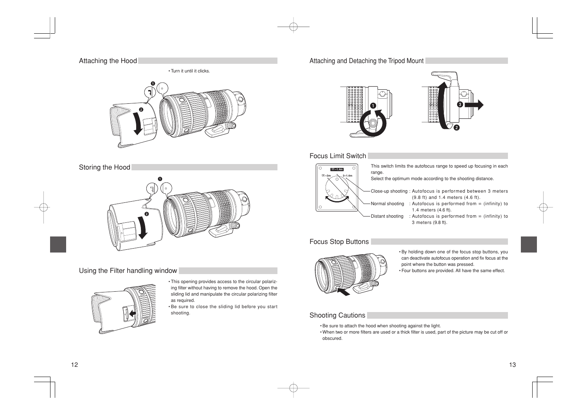#### Attaching the Hood

• Turn it until it clicks.



#### Storing the Hood



### Using the Filter handling window



• This opening provides access to the circular polarizing filter without having to remove the hood. Open the sliding lid and manipulate the circular polarizing filter as required.

• Be sure to close the sliding lid before you start shooting.

#### Attaching and Detaching the Tripod Mount



#### Focus Limit Switch



#### Focus Stop Buttons



- By holding down one of the focus stop buttons, you can deactivate autofocus operation and fix focus at the point where the button was pressed.
- Four buttons are provided. All have the same effect.

#### Shooting Cautions

- Be sure to attach the hood when shooting against the light.
- When two or more filters are used or a thick filter is used, part of the picture may be cut off or obscured.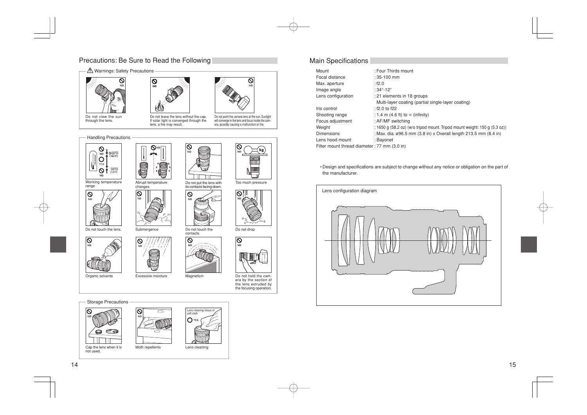## Precautions: Be Sure to Read the Following

# $\Lambda$  Warnings: Safety Precautions  $\overline{\mathsf{Q}}$  $\mathsf{M}\cap$







Do not leave the lens without the cap. If solar light is converged through the lens, a fire may result.

 $\infty$ 

NO

|ତ

N<sub>C</sub>



will converge in the lens and focus inside the camera, possibly causing a malfunction or fire.

ல

 $\overline{\circ}$  $\overline{NQ}$ 

Handling Precautions



Working temperature range







 $\overline{\bigotimes_{N\circ}}$ 

Abrupt temperature changes

Organic solvents Excessive moisture Magnetism

Q





Do not put the lens with its contacts facing down.



Storage Precautions



Cap the lens when it is not used.



Moth repellents









Too much pressure

kc



Do not drop



Do not hold the cam-era by the section of the lens extruded by the focusing operation.

#### Main Specifications

| Mount                                        | : Four Thirds mount                                                        |
|----------------------------------------------|----------------------------------------------------------------------------|
| Focal distance                               | $:35-100$ mm                                                               |
| Max. aperture                                | :12.0                                                                      |
| Image angle                                  | : $34^\circ - 12^\circ$                                                    |
| Lens configuration                           | : 21 elements in 18 groups                                                 |
|                                              | Multi-layer coating (partial single-layer coating)                         |
| Iris control                                 | : $f2.0$ to $f22$                                                          |
| Shooting range                               | : 1.4 m (4.6 ft) to $\infty$ (infinity)                                    |
| Focus adjustment                             | : AF/MF switching                                                          |
| Weight                                       | : 1650 g (58.2 oz) (w/o tripod mount. Tripod mount weight: 150 g (5.3 oz)) |
| <b>Dimensions</b>                            | : Max. dia. ø96.5 mm (3.8 in) x Overall length 213.5 mm (8.4 in)           |
| Lens hood mount                              | : Bayonet                                                                  |
| Filter mount thread diameter: 77 mm (3.0 in) |                                                                            |
|                                              |                                                                            |

• Design and specifications are subject to change without any notice or obligation on the part of the manufacturer.